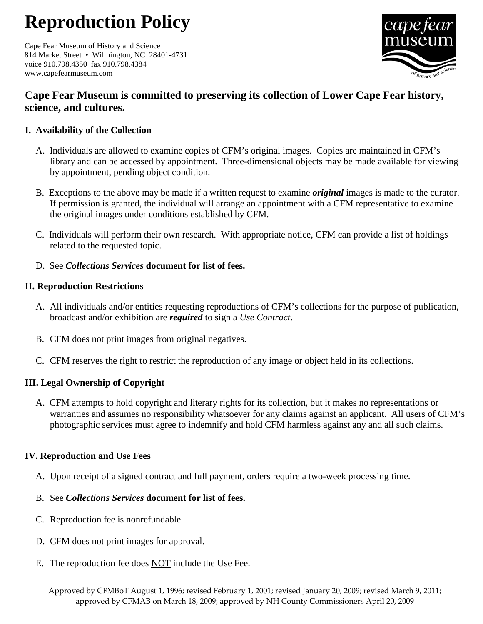# **Reproduction Policy**

**Cape Fear Museum of History and Science** 814 Market Street • Wilmington, NC 28401-4731 voice 910.798.4350 fax 910.798.4384 www.capefearmuseum.com



### **Cape Fear Museum is committed to preserving its collection of Lower Cape Fear history, science, and cultures.**

#### **I. Availability of the Collection**

- A. Individuals are allowed to examine copies of CFM's original images. Copies are maintained in CFM's library and can be accessed by appointment. Three-dimensional objects may be made available for viewing by appointment, pending object condition.
- B. Exceptions to the above may be made if a written request to examine *original* images is made to the curator. If permission is granted, the individual will arrange an appointment with a CFM representative to examine the original images under conditions established by CFM.
- C. Individuals will perform their own research. With appropriate notice, CFM can provide a list of holdings related to the requested topic.
- D. See *Collections Services* **document for list of fees.**

#### **II. Reproduction Restrictions**

- A. All individuals and/or entities requesting reproductions of CFM's collections for the purpose of publication, broadcast and/or exhibition are *required* to sign a *Use Contract*.
- B. CFM does not print images from original negatives.
- C. CFM reserves the right to restrict the reproduction of any image or object held in its collections.

#### **III. Legal Ownership of Copyright**

A. CFM attempts to hold copyright and literary rights for its collection, but it makes no representations or warranties and assumes no responsibility whatsoever for any claims against an applicant. All users of CFM's photographic services must agree to indemnify and hold CFM harmless against any and all such claims.

#### **IV. Reproduction and Use Fees**

- A. Upon receipt of a signed contract and full payment, orders require a two-week processing time.
- B. See *Collections Services* **document for list of fees.**
- C. Reproduction fee is nonrefundable.
- D. CFM does not print images for approval.
- E. The reproduction fee does NOT include the Use Fee.

Approved by CFMBoT August 1, 1996; revised February 1, 2001; revised January 20, 2009; revised March 9, 2011; approved by CFMAB on March 18, 2009; approved by NH County Commissioners April 20, 2009